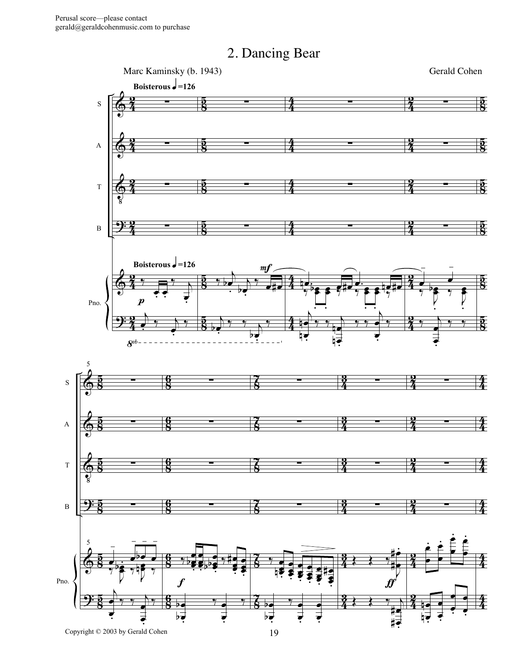

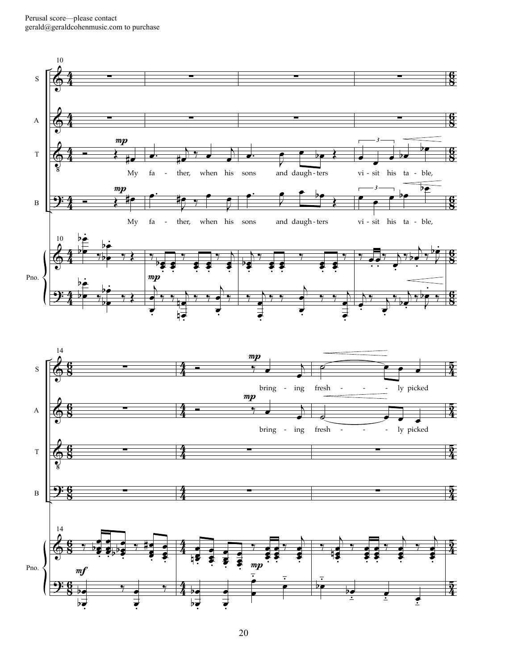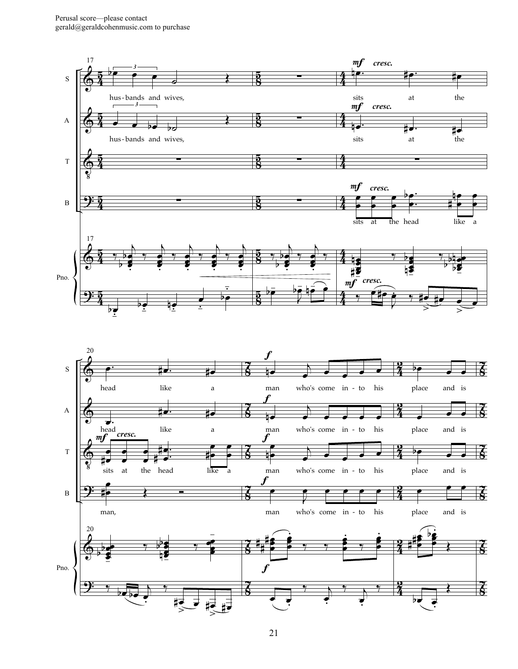

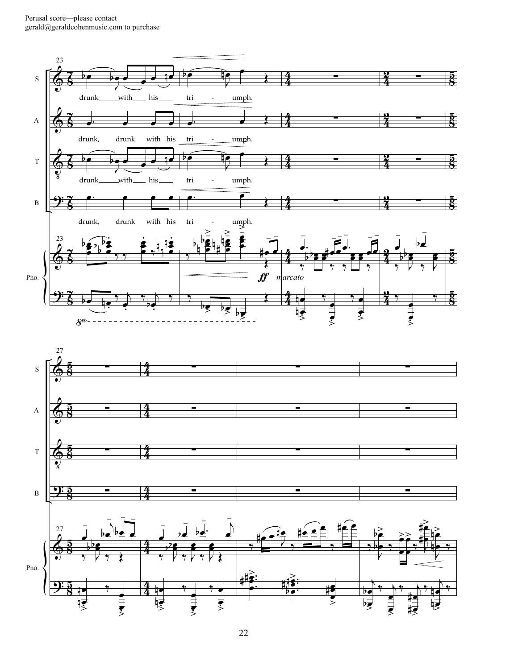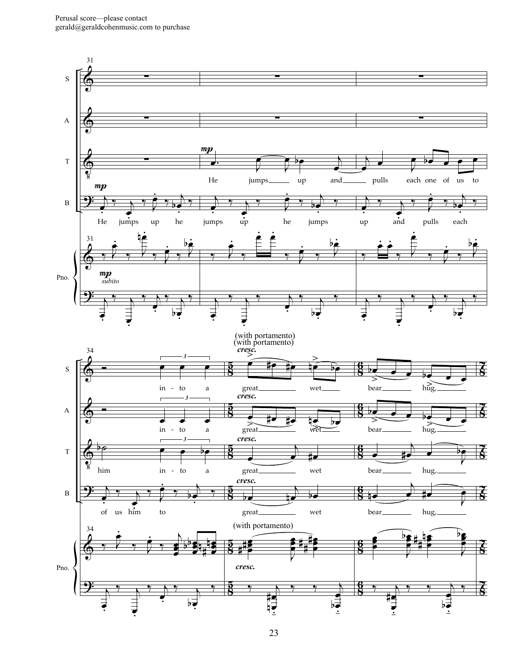